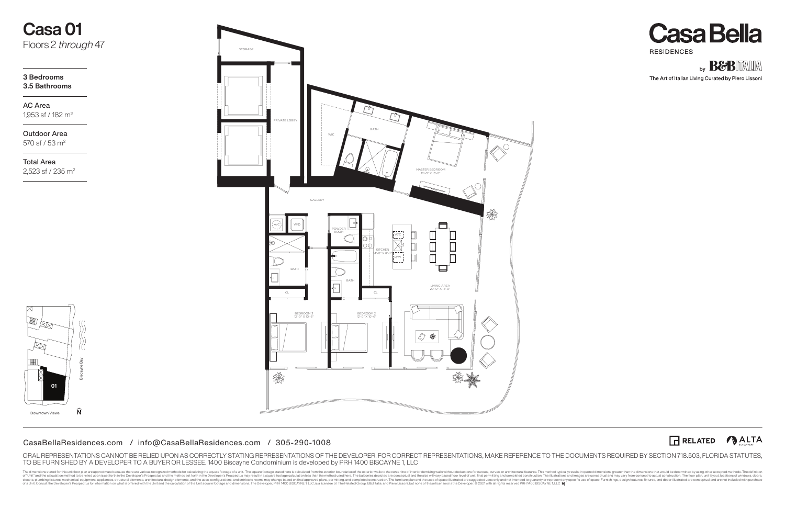The dimensions stated for this until foor plan are approximate because there are various recognized methods. The definition such the such the such the such the such the such the such distributed form the such such such the of a Unit. Consult the Developer's Prospectus for information on what is offered with the Unit and the calculation of the Unit square footage and dimensions. The Developer, PRH 1400 BISCAYNE1, LLC, is a licensee of: The Re





The Art of Italian Living Curated by Piero Lissoni



Outdoor Area 570 sf / 53 m2

AC Area 1,953 sf / 182 m2

**3 Bedrooms 3.5 Bathrooms**

# **Casa 01** Floors 2 *through* 47

# CasaBellaResidences.com / info@CasaBellaResidences.com / 305-290-1008

Total Area 2,523 sf / 235 m2



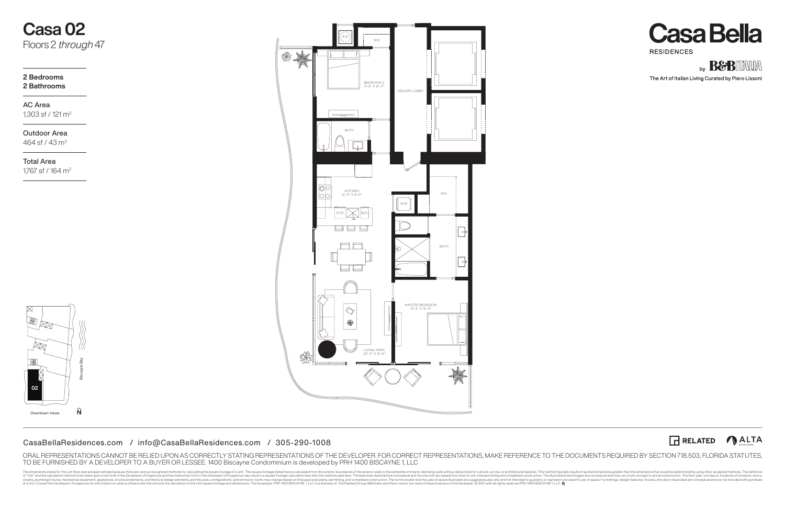The dimensions stated for this until foor plan are approximate because there are various recognized methods. The definition such the such the such the such the such the such the such distributed form the such such such the of a Unit. Consult the Developer's Prospectus for information on what is offered with the Unit and the calculation of the Unit square footage and dimensions. The Developer, PRH 1400 BISCAYNE1, LLC, is a licensee of: The Re





The Art of Italian Living Curated by Piero Lissoni



Outdoor Area 464 sf / 43 m<sup>2</sup>

AC Area 1,303 sf / 121 m2

### **2 Bedrooms 2 Bathrooms**

# **Casa 02** Floors 2 *through* 47



Total Area 1,767 sf / 164 m2

**02**

Biscayne Bay

 $\widehat{\mathsf{N}}$ 

Downtown Views

 $\bowtie$ 

 $\boxtimes$ 

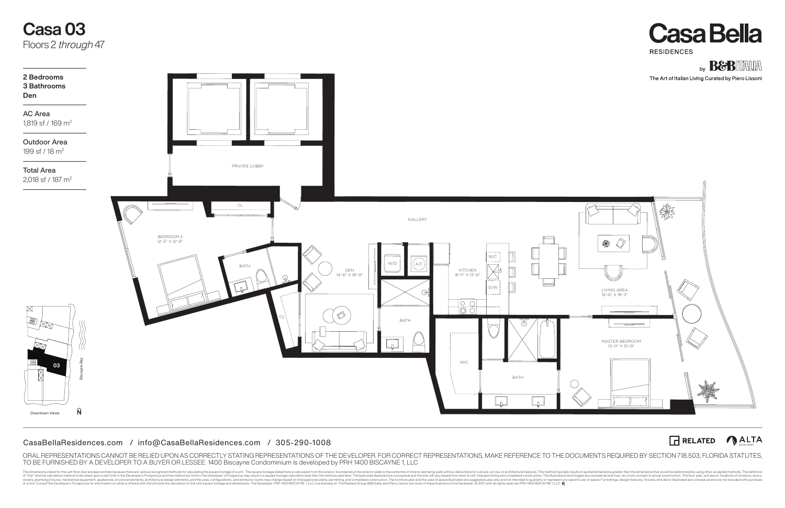The dimensions stated for this until foor plan are approximate because there are various recognized methods. The definition such the such the such the such the such the such the such distributed form the such such such the of a Unit. Consult the Developer's Prospectus for information on what is offered with the Unit and the calculation of the Unit square footage and dimensions. The Developer, PRH 1400 BISCAYNE1, LLC, is a licensee of: The Re





# RELATED **ALTA**



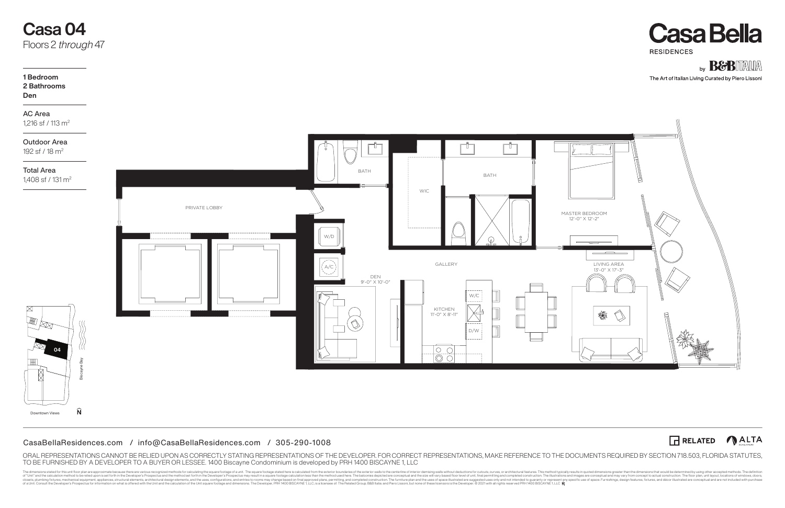The dimensions stated for this until foor plan are approximate because there are various recognized methods. The definition such the such the such the such the such the such the such distributed form the such such such the of a Unit. Consult the Developer's Prospectus for information on what is offered with the Unit and the calculation of the Unit square footage and dimensions. The Developer, PRH 1400 BISCAYNE1, LLC, is a licensee of: The Re





The Art of Italian Living Curated by Piero Lissoni





Outdoor Area 192 sf / 18 m2

AC Area 1,216 sf / 113 m2

# **1 Bedroom 2 Bathrooms**

# **Den**

# **Casa 04** Floors 2 *through* 47

Total Area

1,408 sf / 131 m2

**04**

Downtown Views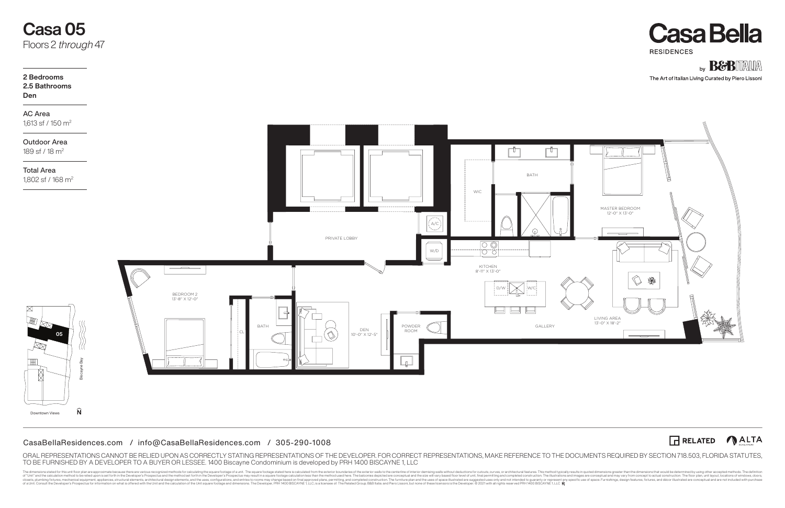The dimensions stated for this until foor plan are approximate because there are various recognized methods. The definition such the such the such the such the such the such the such distributed form the such such such the of a Unit. Consult the Developer's Prospectus for information on what is offered with the Unit and the calculation of the Unit square footage and dimensions. The Developer, PRH 1400 BISCAYNE1, LLC, is a licensee of: The Re





The Art of Italian Living Curated by Piero Lissoni



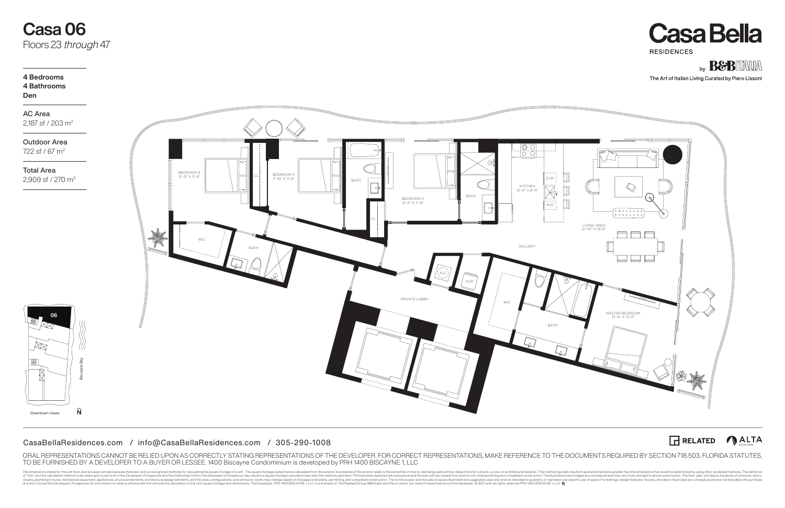The dimensions stated for this until foor plan are approximate because there are various recognized methods. The definition such the such the such the such the such the such the such distributed form the such such such the of a Unit. Consult the Developer's Prospectus for information on what is offered with the Unit and the calculation of the Unit square footage and dimensions. The Developer, PRH 1400 BISCAYNE1, LLC, is a licensee of: The Re





The Art of Italian Living Curated by Piero Lissoni

RELATED **ALTA** 

Outdoor Area 722 sf / 67 m<sup>2</sup>



**06**

Biscayne Bay

 $\widehat{\mathsf{N}}$ 

Downtown Views

 $\overline{\mathbb{R}}$ 

AC Area 2,187 sf / 203 m2

# **4 Bedrooms 4 Bathrooms Den**

Total Area 2,909 sf / 270 m2



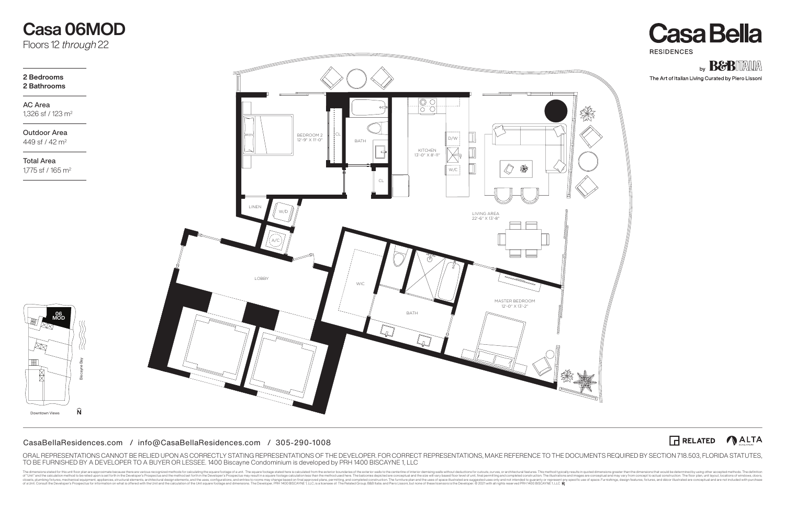The dimensions stated for this until foor plan are approximate because there are various recognized methods. The definition such the such the such the such the such the such the such distributed form the such such such the of a Unit. Consult the Developer's Prospectus for information on what is offered with the Unit and the calculation of the Unit square footage and dimensions. The Developer, PRH 1400 BISCAYNE1, LLC, is a licensee of: The Re





The Art of Italian Living Curated by Piero Lissoni



# **Casa 06MOD** Floors 12 *through* 22

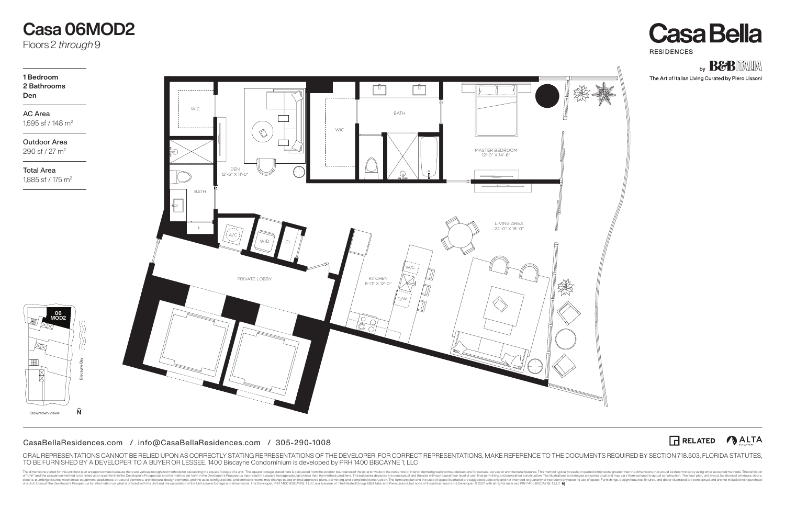The dimensions stated for this until foor plan are approximate because there are various recognized methods. The definition such the such the such the such the such the such the such distributed form the such such such the of a Unit. Consult the Developer's Prospectus for information on what is offered with the Unit and the calculation of the Unit square footage and dimensions. The Developer, PRH 1400 BISCAYNE1, LLC, is a licensee of: The Re





The Art of Italian Living Curated by Piero Lissoni



# $\widehat{\mathsf{N}}$ Downtown Views

# **Casa 06MOD2**

Floors 2 *through* 9



# LIVING AREA 22'-0" X 18'-0"

MASTER BEDROOM 12'-0" X 14'-6"